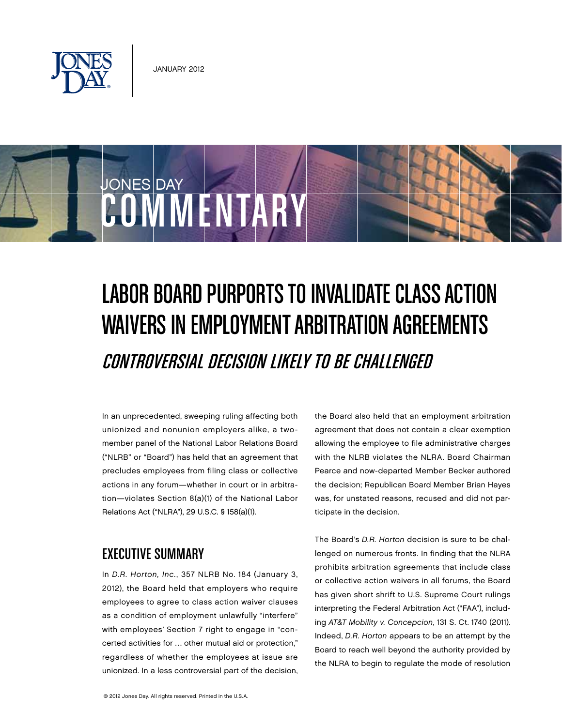

COMMENTARY

JONES DAY

# LABOR BOARD PURPORTS TO INVALIDATE CLASS ACTION Waivers in Employment Arbitration Agreements Controversial decision likely to be challenged

In an unprecedented, sweeping ruling affecting both unionized and nonunion employers alike, a twomember panel of the National Labor Relations Board ("NLRB" or "Board") has held that an agreement that precludes employees from filing class or collective actions in any forum—whether in court or in arbitration—violates Section 8(a)(1) of the National Labor Relations Act ("NLRA"), 29 U.S.C. § 158(a)(1).

## Executive Summary

In D.R. Horton, Inc., 357 NLRB No. 184 (January 3, 2012), the Board held that employers who require employees to agree to class action waiver clauses as a condition of employment unlawfully "interfere" with employees' Section 7 right to engage in "concerted activities for … other mutual aid or protection," regardless of whether the employees at issue are unionized. In a less controversial part of the decision,

the Board also held that an employment arbitration agreement that does not contain a clear exemption allowing the employee to file administrative charges with the NLRB violates the NLRA. Board Chairman Pearce and now-departed Member Becker authored the decision; Republican Board Member Brian Hayes was, for unstated reasons, recused and did not participate in the decision.

The Board's D.R. Horton decision is sure to be challenged on numerous fronts. In finding that the NLRA prohibits arbitration agreements that include class or collective action waivers in all forums, the Board has given short shrift to U.S. Supreme Court rulings interpreting the Federal Arbitration Act ("FAA"), including AT&T Mobility v. Concepcion, 131 S. Ct. 1740 (2011). Indeed, D.R. Horton appears to be an attempt by the Board to reach well beyond the authority provided by the NLRA to begin to regulate the mode of resolution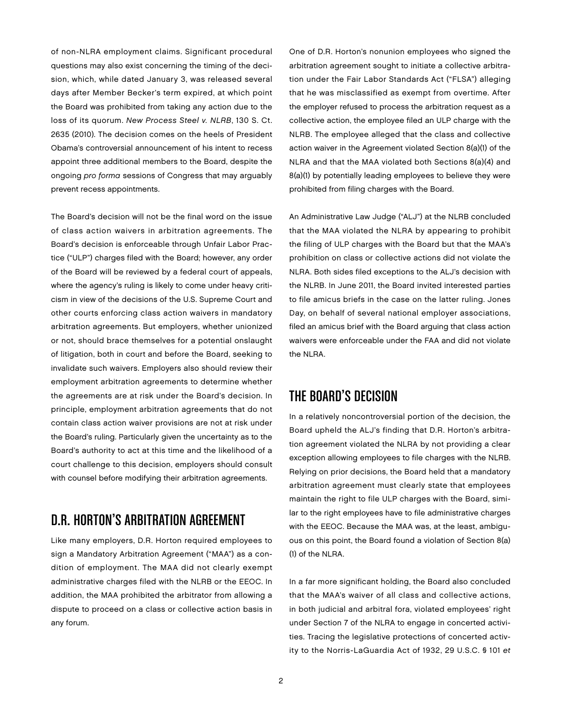of non-NLRA employment claims. Significant procedural questions may also exist concerning the timing of the decision, which, while dated January 3, was released several days after Member Becker's term expired, at which point the Board was prohibited from taking any action due to the loss of its quorum. New Process Steel v. NLRB, 130 S. Ct. 2635 (2010). The decision comes on the heels of President Obama's controversial announcement of his intent to recess appoint three additional members to the Board, despite the ongoing pro forma sessions of Congress that may arguably prevent recess appointments.

The Board's decision will not be the final word on the issue of class action waivers in arbitration agreements. The Board's decision is enforceable through Unfair Labor Practice ("ULP") charges filed with the Board; however, any order of the Board will be reviewed by a federal court of appeals, where the agency's ruling is likely to come under heavy criticism in view of the decisions of the U.S. Supreme Court and other courts enforcing class action waivers in mandatory arbitration agreements. But employers, whether unionized or not, should brace themselves for a potential onslaught of litigation, both in court and before the Board, seeking to invalidate such waivers. Employers also should review their employment arbitration agreements to determine whether the agreements are at risk under the Board's decision. In principle, employment arbitration agreements that do not contain class action waiver provisions are not at risk under the Board's ruling. Particularly given the uncertainty as to the Board's authority to act at this time and the likelihood of a court challenge to this decision, employers should consult with counsel before modifying their arbitration agreements.

## D.R. Horton's Arbitration Agreement

Like many employers, D.R. Horton required employees to sign a Mandatory Arbitration Agreement ("MAA") as a condition of employment. The MAA did not clearly exempt administrative charges filed with the NLRB or the EEOC. In addition, the MAA prohibited the arbitrator from allowing a dispute to proceed on a class or collective action basis in any forum.

One of D.R. Horton's nonunion employees who signed the arbitration agreement sought to initiate a collective arbitration under the Fair Labor Standards Act ("FLSA") alleging that he was misclassified as exempt from overtime. After the employer refused to process the arbitration request as a collective action, the employee filed an ULP charge with the NLRB. The employee alleged that the class and collective action waiver in the Agreement violated Section 8(a)(1) of the NLRA and that the MAA violated both Sections 8(a)(4) and 8(a)(1) by potentially leading employees to believe they were prohibited from filing charges with the Board.

An Administrative Law Judge ("ALJ") at the NLRB concluded that the MAA violated the NLRA by appearing to prohibit the filing of ULP charges with the Board but that the MAA's prohibition on class or collective actions did not violate the NLRA. Both sides filed exceptions to the ALJ's decision with the NLRB. In June 2011, the Board invited interested parties to file amicus briefs in the case on the latter ruling. Jones Day, on behalf of several national employer associations, filed an amicus brief with the Board arguing that class action waivers were enforceable under the FAA and did not violate the NLRA.

# The Board's Decision

In a relatively noncontroversial portion of the decision, the Board upheld the ALJ's finding that D.R. Horton's arbitration agreement violated the NLRA by not providing a clear exception allowing employees to file charges with the NLRB. Relying on prior decisions, the Board held that a mandatory arbitration agreement must clearly state that employees maintain the right to file ULP charges with the Board, similar to the right employees have to file administrative charges with the EEOC. Because the MAA was, at the least, ambiguous on this point, the Board found a violation of Section 8(a) (1) of the NLRA.

In a far more significant holding, the Board also concluded that the MAA's waiver of all class and collective actions, in both judicial and arbitral fora, violated employees' right under Section 7 of the NLRA to engage in concerted activities. Tracing the legislative protections of concerted activity to the Norris-LaGuardia Act of 1932, 29 U.S.C. § 101 et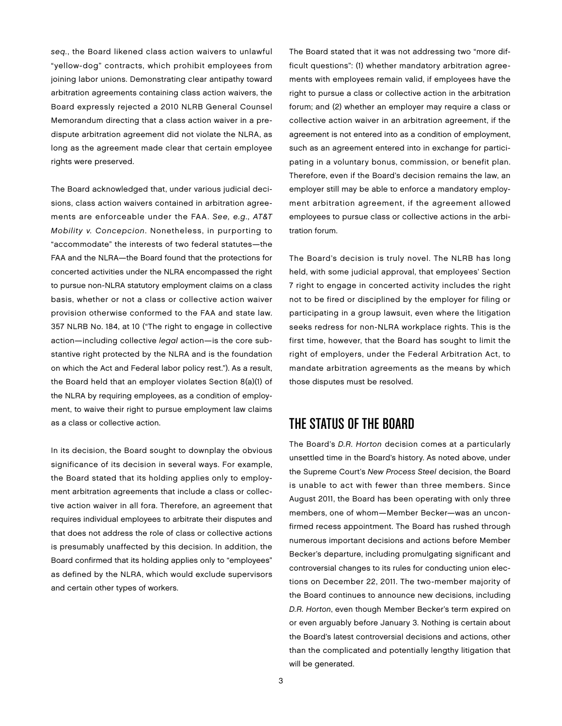seq., the Board likened class action waivers to unlawful "yellow-dog" contracts, which prohibit employees from joining labor unions. Demonstrating clear antipathy toward arbitration agreements containing class action waivers, the Board expressly rejected a 2010 NLRB General Counsel Memorandum directing that a class action waiver in a predispute arbitration agreement did not violate the NLRA, as long as the agreement made clear that certain employee rights were preserved.

The Board acknowledged that, under various judicial decisions, class action waivers contained in arbitration agreements are enforceable under the FAA. See, e.g., AT&T Mobility v. Concepcion. Nonetheless, in purporting to "accommodate" the interests of two federal statutes—the FAA and the NLRA—the Board found that the protections for concerted activities under the NLRA encompassed the right to pursue non-NLRA statutory employment claims on a class basis, whether or not a class or collective action waiver provision otherwise conformed to the FAA and state law. 357 NLRB No. 184, at 10 ("The right to engage in collective action—including collective legal action—is the core substantive right protected by the NLRA and is the foundation on which the Act and Federal labor policy rest."). As a result, the Board held that an employer violates Section 8(a)(1) of the NLRA by requiring employees, as a condition of employment, to waive their right to pursue employment law claims as a class or collective action.

In its decision, the Board sought to downplay the obvious significance of its decision in several ways. For example, the Board stated that its holding applies only to employment arbitration agreements that include a class or collective action waiver in all fora. Therefore, an agreement that requires individual employees to arbitrate their disputes and that does not address the role of class or collective actions is presumably unaffected by this decision. In addition, the Board confirmed that its holding applies only to "employees" as defined by the NLRA, which would exclude supervisors and certain other types of workers.

The Board stated that it was not addressing two "more difficult questions": (1) whether mandatory arbitration agreements with employees remain valid, if employees have the right to pursue a class or collective action in the arbitration forum; and (2) whether an employer may require a class or collective action waiver in an arbitration agreement, if the agreement is not entered into as a condition of employment, such as an agreement entered into in exchange for participating in a voluntary bonus, commission, or benefit plan. Therefore, even if the Board's decision remains the law, an employer still may be able to enforce a mandatory employment arbitration agreement, if the agreement allowed employees to pursue class or collective actions in the arbitration forum.

The Board's decision is truly novel. The NLRB has long held, with some judicial approval, that employees' Section 7 right to engage in concerted activity includes the right not to be fired or disciplined by the employer for filing or participating in a group lawsuit, even where the litigation seeks redress for non-NLRA workplace rights. This is the first time, however, that the Board has sought to limit the right of employers, under the Federal Arbitration Act, to mandate arbitration agreements as the means by which those disputes must be resolved.

#### The Status of the Board

The Board's D.R. Horton decision comes at a particularly unsettled time in the Board's history. As noted above, under the Supreme Court's New Process Steel decision, the Board is unable to act with fewer than three members. Since August 2011, the Board has been operating with only three members, one of whom—Member Becker—was an unconfirmed recess appointment. The Board has rushed through numerous important decisions and actions before Member Becker's departure, including promulgating significant and controversial changes to its rules for conducting union elections on December 22, 2011. The two-member majority of the Board continues to announce new decisions, including D.R. Horton, even though Member Becker's term expired on or even arguably before January 3. Nothing is certain about the Board's latest controversial decisions and actions, other than the complicated and potentially lengthy litigation that will be generated.